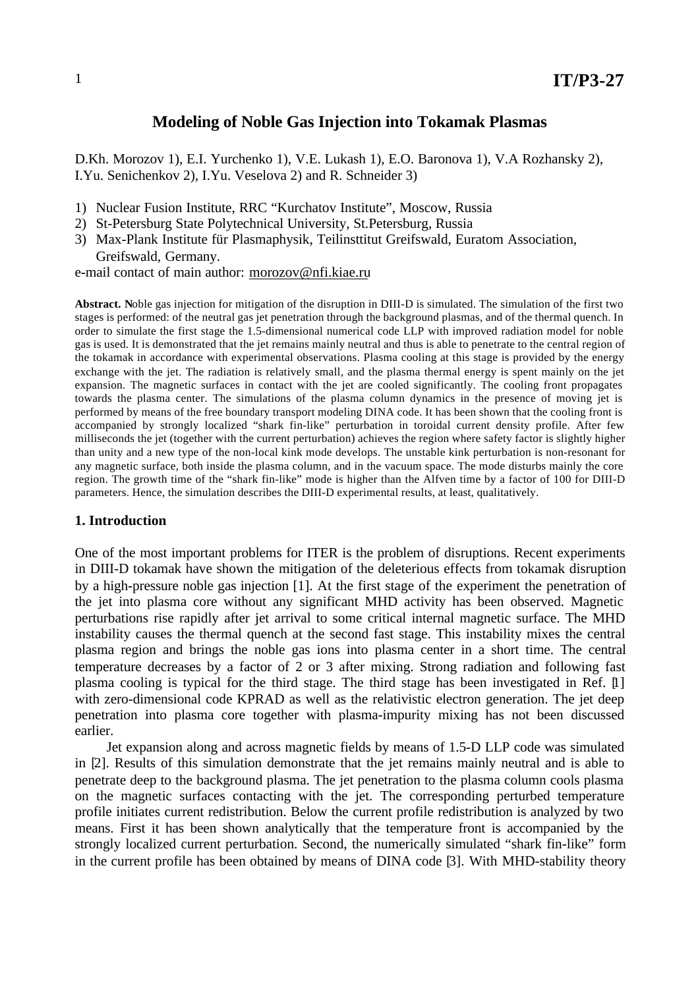# **Modeling of Noble Gas Injection into Tokamak Plasmas**

D.Kh. Morozov 1), E.I. Yurchenko 1), V.E. Lukash 1), E.O. Baronova 1), V.A Rozhansky 2), I.Yu. Senichenkov 2), I.Yu. Veselova 2) and R. Schneider 3)

- 1) Nuclear Fusion Institute, RRC "Kurchatov Institute", Moscow, Russia
- 2) St-Petersburg State Polytechnical University, St.Petersburg, Russia
- 3) Max-Plank Institute für Plasmaphysik, Teilinsttitut Greifswald, Euratom Association, Greifswald, Germany.

e-mail contact of main author: morozov@nfi.kiae.ru

**Abstract. N**oble gas injection for mitigation of the disruption in DIII-D is simulated. The simulation of the first two stages is performed: of the neutral gas jet penetration through the background plasmas, and of the thermal quench. In order to simulate the first stage the 1.5-dimensional numerical code LLP with improved radiation model for noble gas is used. It is demonstrated that the jet remains mainly neutral and thus is able to penetrate to the central region of the tokamak in accordance with experimental observations. Plasma cooling at this stage is provided by the energy exchange with the jet. The radiation is relatively small, and the plasma thermal energy is spent mainly on the jet expansion. The magnetic surfaces in contact with the jet are cooled significantly. The cooling front propagates towards the plasma center. The simulations of the plasma column dynamics in the presence of moving jet is performed by means of the free boundary transport modeling DINA code. It has been shown that the cooling front is accompanied by strongly localized "shark fin-like" perturbation in toroidal current density profile. After few milliseconds the jet (together with the current perturbation) achieves the region where safety factor is slightly higher than unity and a new type of the non-local kink mode develops. The unstable kink perturbation is non-resonant for any magnetic surface, both inside the plasma column, and in the vacuum space. The mode disturbs mainly the core region. The growth time of the "shark fin-like" mode is higher than the Alfven time by a factor of 100 for DIII-D parameters. Hence, the simulation describes the DIII-D experimental results, at least, qualitatively.

## **1. Introduction**

One of the most important problems for ITER is the problem of disruptions. Recent experiments in DIII-D tokamak have shown the mitigation of the deleterious effects from tokamak disruption by a high-pressure noble gas injection [1]. At the first stage of the experiment the penetration of the jet into plasma core without any significant MHD activity has been observed. Magnetic perturbations rise rapidly after jet arrival to some critical internal magnetic surface. The MHD instability causes the thermal quench at the second fast stage. This instability mixes the central plasma region and brings the noble gas ions into plasma center in a short time. The central temperature decreases by a factor of 2 or 3 after mixing. Strong radiation and following fast plasma cooling is typical for the third stage. The third stage has been investigated in Ref. [1] with zero-dimensional code KPRAD as well as the relativistic electron generation. The jet deep penetration into plasma core together with plasma-impurity mixing has not been discussed earlier.

Jet expansion along and across magnetic fields by means of 1.5-D LLP code was simulated in [2]. Results of this simulation demonstrate that the jet remains mainly neutral and is able to penetrate deep to the background plasma. The jet penetration to the plasma column cools plasma on the magnetic surfaces contacting with the jet. The corresponding perturbed temperature profile initiates current redistribution. Below the current profile redistribution is analyzed by two means. First it has been shown analytically that the temperature front is accompanied by the strongly localized current perturbation. Second, the numerically simulated "shark fin-like" form in the current profile has been obtained by means of DINA code [3]. With MHD-stability theory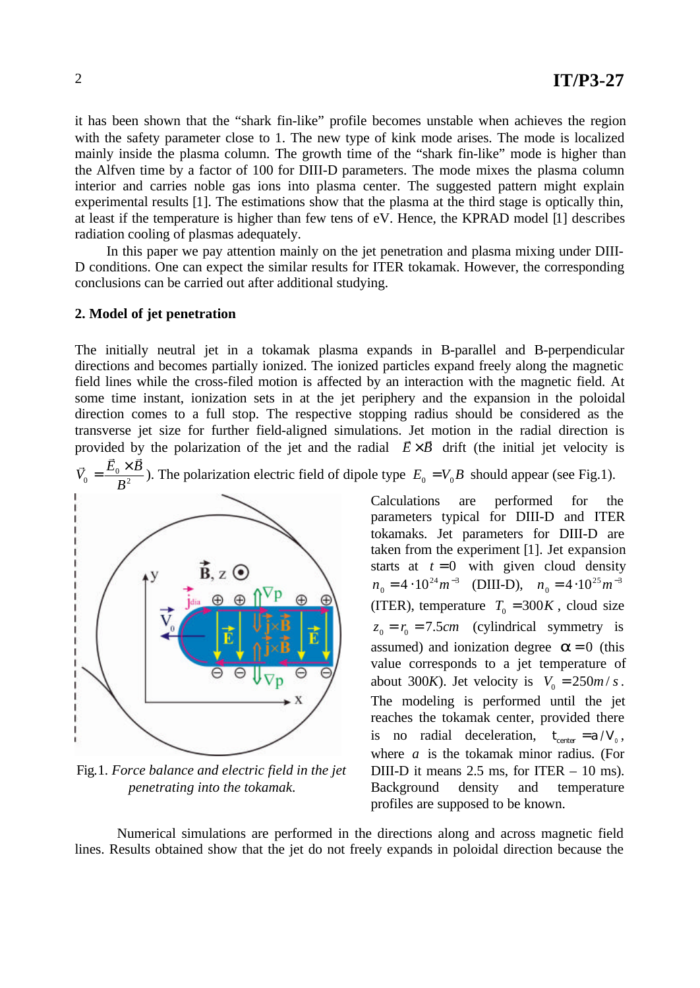it has been shown that the "shark fin-like" profile becomes unstable when achieves the region with the safety parameter close to 1. The new type of kink mode arises. The mode is localized mainly inside the plasma column. The growth time of the "shark fin-like" mode is higher than the Alfven time by a factor of 100 for DIII-D parameters. The mode mixes the plasma column interior and carries noble gas ions into plasma center. The suggested pattern might explain experimental results [1]. The estimations show that the plasma at the third stage is optically thin, at least if the temperature is higher than few tens of eV. Hence, the KPRAD model [1] describes radiation cooling of plasmas adequately.

In this paper we pay attention mainly on the jet penetration and plasma mixing under DIII-D conditions. One can expect the similar results for ITER tokamak. However, the corresponding conclusions can be carried out after additional studying.

## **2. Model of jet penetration**

The initially neutral jet in a tokamak plasma expands in B-parallel and B-perpendicular directions and becomes partially ionized. The ionized particles expand freely along the magnetic field lines while the cross-filed motion is affected by an interaction with the magnetic field. At some time instant, ionization sets in at the jet periphery and the expansion in the poloidal direction comes to a full stop. The respective stopping radius should be considered as the transverse jet size for further field-aligned simulations. Jet motion in the radial direction is provided by the polarization of the jet and the radial  $\vec{E} \times \vec{B}$  drift (the initial jet velocity is





Fig.1. *Force balance and electric field in the jet penetrating into the tokamak.*

Calculations are performed for the parameters typical for DIII-D and ITER tokamaks. Jet parameters for DIII-D are taken from the experiment [1]. Jet expansion starts at  $t = 0$  with given cloud density  $n_0 = 4 \cdot 10^{24} m^{-3}$  (DIII-D),  $n_0 = 4 \cdot 10^{25} m^{-3}$ (ITER), temperature  $T_0 = 300K$ , cloud size  $z_0 = r_0 = 7.5$ *cm* (cylindrical symmetry is assumed) and ionization degree  $\boldsymbol{a} = 0$  (this value corresponds to a jet temperature of about 300*K*). Jet velocity is  $V_0 = 250m / s$ . The modeling is performed until the jet reaches the tokamak center, provided there is no radial deceleration,  $t_{center} = a / V_0$ , where *a* is the tokamak minor radius. (For DIII-D it means  $2.5$  ms, for ITER  $-10$  ms). Background density and temperature profiles are supposed to be known.

Numerical simulations are performed in the directions along and across magnetic field lines. Results obtained show that the jet do not freely expands in poloidal direction because the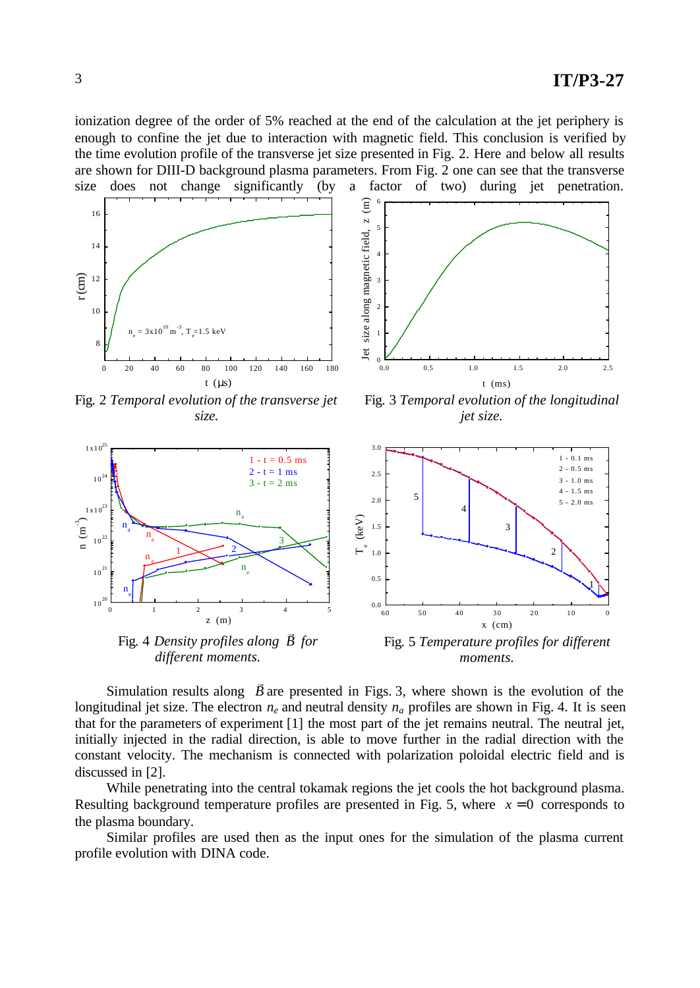ionization degree of the order of 5% reached at the end of the calculation at the jet periphery is enough to confine the jet due to interaction with magnetic field. This conclusion is verified by the time evolution profile of the transverse jet size presented in Fig. 2. Here and below all results are shown for DIII-D background plasma parameters. From Fig. 2 one can see that the transverse size does not change significantly (by a factor of two) during jet penetration.





Fig. 2 *Temporal evolution of the transverse jet size.*

Fig. 3 *Temporal evolution of the longitudinal jet size.*



Fig. 4 *Density profiles along B for different moments.*

Fig. 5 *Temperature profiles for different moments.*

Simulation results along *B* .<br>⇒ are presented in Figs. 3, where shown is the evolution of the longitudinal jet size. The electron  $n_e$  and neutral density  $n_a$  profiles are shown in Fig. 4. It is seen that for the parameters of experiment [1] the most part of the jet remains neutral. The neutral jet, initially injected in the radial direction, is able to move further in the radial direction with the constant velocity. The mechanism is connected with polarization poloidal electric field and is discussed in [2].

While penetrating into the central tokamak regions the jet cools the hot background plasma. Resulting background temperature profiles are presented in Fig. 5, where  $x = 0$  corresponds to the plasma boundary.

Similar profiles are used then as the input ones for the simulation of the plasma current profile evolution with DINA code.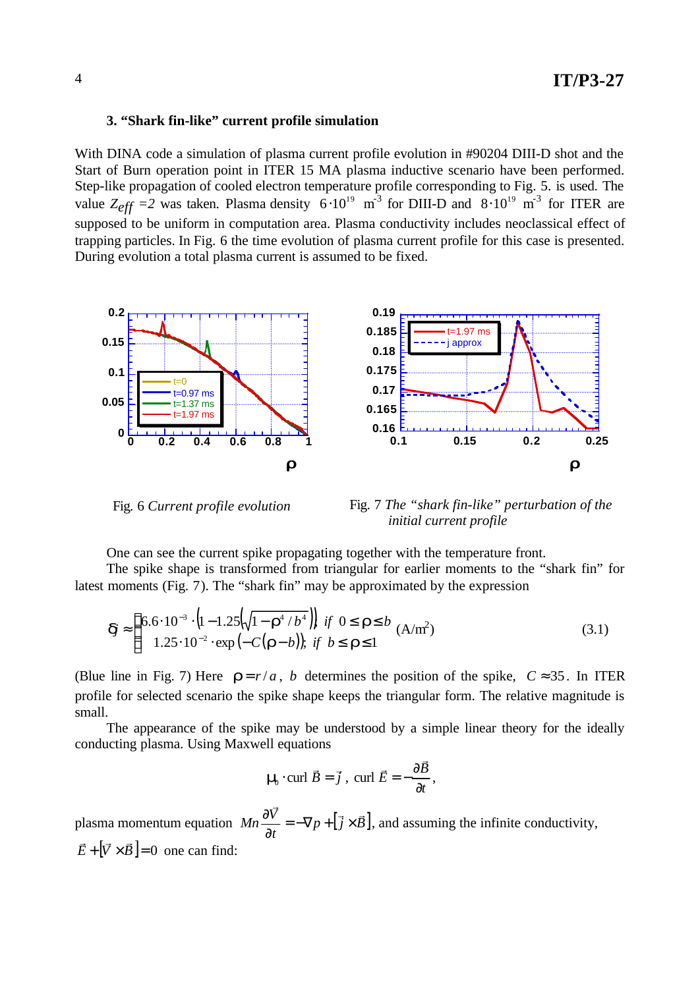### **3. "Shark fin-like" current profile simulation**

With DINA code a simulation of plasma current profile evolution in #90204 DIII-D shot and the Start of Burn operation point in ITER 15 MA plasma inductive scenario have been performed. Step-like propagation of cooled electron temperature profile corresponding to Fig. 5. is used. The value  $Z_{eff}$  =2 was taken. Plasma density  $6 \cdot 10^{19}$  m<sup>-3</sup> for DIII-D and  $8 \cdot 10^{19}$  m<sup>-3</sup> for ITER are supposed to be uniform in computation area. Plasma conductivity includes neoclassical effect of trapping particles. In Fig. 6 the time evolution of plasma current profile for this case is presented. During evolution a total plasma current is assumed to be fixed.



Fig. 6 *Current profile evolution*

 Fig. 7 *The "shark fin-like" perturbation of the initial current profile*

One can see the current spike propagating together with the temperature front.

The spike shape is transformed from triangular for earlier moments to the "shark fin" for latest moments (Fig. 7). The "shark fin" may be approximated by the expression

$$
\mathbf{d} \approx \begin{cases} 6.6 \cdot 10^{-3} \cdot (1 - 1.25(\sqrt{1 - r^4 / b^4})) & \text{if } 0 \le r \le b \\ 1.25 \cdot 10^{-2} \cdot \exp(-C(r - b)); & \text{if } b \le r \le 1 \end{cases} \tag{3.1}
$$

(Blue line in Fig. 7) Here  $\mathbf{r} = r/a$ , *b* determines the position of the spike,  $C \approx 35$ . In ITER profile for selected scenario the spike shape keeps the triangular form. The relative magnitude is small.

The appearance of the spike may be understood by a simple linear theory for the ideally conducting plasma. Using Maxwell equations

$$
\mathbf{m} \cdot \text{curl } \vec{B} = \vec{j} \ , \ \text{curl } \vec{E} = -\frac{\partial \vec{B}}{\partial t},
$$

plasma momentum equation  $Mn \frac{\partial V}{\partial x} = -\nabla p + [\vec{j} \times \vec{B}]$ . *t*  $Mn\frac{\partial \bar{V}}{\partial \bar{V}}$  $\vec{z}$  r  $\vec{z}$  $=-\nabla p + \left[\vec{j} \times \right]$ ∂  $\frac{\partial \vec{V}}{\partial t} = -\nabla p + [\vec{j} \times \vec{B}]$ , and assuming the infinite conductivity,  $\vec{E} + |\vec{V} \times \vec{B}| = 0$  $\overline{r}$  . The results of  $\overline{r}$ one can find: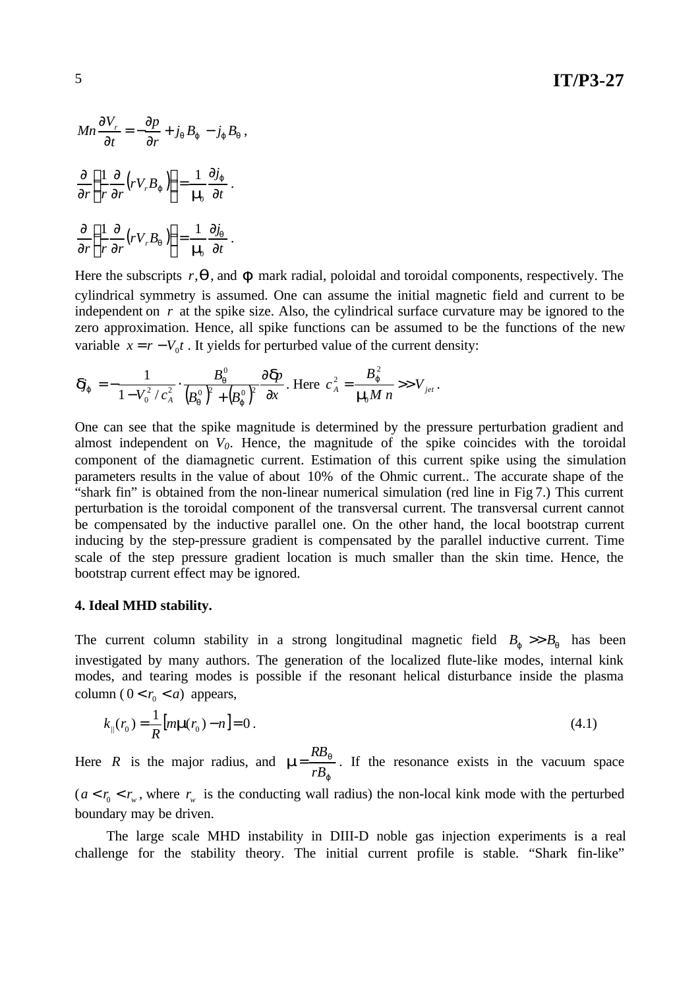$$
Mn \frac{\partial V_r}{\partial t} = -\frac{\partial p}{\partial r} + j_q B_j - j_j B_q
$$

$$
\frac{\partial}{\partial r} \left( \frac{1}{r} \frac{\partial}{\partial r} \left( r V_r B_j \right) \right) = \frac{1}{\mathbf{m}_0} \frac{\partial j_j}{\partial t}.
$$

$$
\frac{\partial}{\partial r} \left( \frac{1}{r} \frac{\partial}{\partial r} \left( r V_r B_q \right) \right) = \frac{1}{\mathbf{m}_0} \frac{\partial j_q}{\partial t}.
$$

Here the subscripts *r*,*q*, and *j* mark radial, poloidal and toroidal components, respectively. The cylindrical symmetry is assumed. One can assume the initial magnetic field and current to be independent on *r* at the spike size. Also, the cylindrical surface curvature may be ignored to the zero approximation. Hence, all spike functions can be assumed to be the functions of the new variable  $x = r - V_0 t$ . It yields for perturbed value of the current density:

$$
\mathbf{d}_{j} = -\frac{1}{1 - V_{0}^{2} / c_{A}^{2}} \cdot \frac{B_{q}^{0}}{(B_{q}^{0})^{2} + (B_{j}^{0})^{2}} \frac{\partial \mathbf{\Phi}}{\partial x}.
$$
 Here  $c_{A}^{2} = \frac{B_{j}^{2}}{m M n} >> V_{jet}$ .

,

One can see that the spike magnitude is determined by the pressure perturbation gradient and almost independent on  $V_0$ . Hence, the magnitude of the spike coincides with the toroidal component of the diamagnetic current. Estimation of this current spike using the simulation parameters results in the value of about 10% of the Ohmic current.. The accurate shape of the "shark fin" is obtained from the non-linear numerical simulation (red line in Fig 7.) This current perturbation is the toroidal component of the transversal current. The transversal current cannot be compensated by the inductive parallel one. On the other hand, the local bootstrap current inducing by the step-pressure gradient is compensated by the parallel inductive current. Time scale of the step pressure gradient location is much smaller than the skin time. Hence, the bootstrap current effect may be ignored.

#### **4. Ideal MHD stability.**

The current column stability in a strong longitudinal magnetic field  $B_j \gg B_q$  has been investigated by many authors. The generation of the localized flute-like modes, internal kink modes, and tearing modes is possible if the resonant helical disturbance inside the plasma column ( $0 < r_0 < a$ ) appears,

$$
k_{\parallel}(r_0) = \frac{1}{R} [m\mathbf{m}(r_0) - n] = 0.
$$
\n(4.1)

Here *R* is the major radius, and *j*  $m = \frac{\Delta D_q}{D}$ *rB RB*  $=\frac{10}{\pi}$ . If the resonance exists in the vacuum space  $(a < r_0 < r_w)$ , where  $r_w$  is the conducting wall radius) the non-local kink mode with the perturbed boundary may be driven.

The large scale MHD instability in DIII-D noble gas injection experiments is a real challenge for the stability theory. The initial current profile is stable. "Shark fin-like"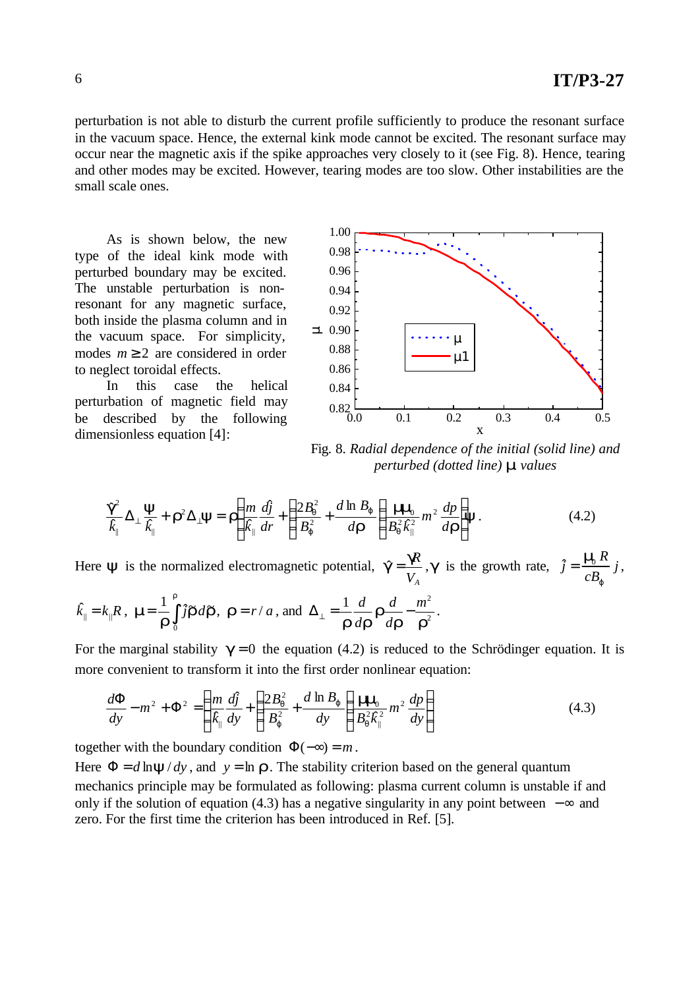perturbation is not able to disturb the current profile sufficiently to produce the resonant surface in the vacuum space. Hence, the external kink mode cannot be excited. The resonant surface may occur near the magnetic axis if the spike approaches very closely to it (see Fig. 8). Hence, tearing and other modes may be excited. However, tearing modes are too slow. Other instabilities are the small scale ones.

As is shown below, the new type of the ideal kink mode with perturbed boundary may be excited. The unstable perturbation is nonresonant for any magnetic surface, both inside the plasma column and in the vacuum space. For simplicity, modes  $m \geq 2$  are considered in order to neglect toroidal effects.

In this case the helical perturbation of magnetic field may be described by the following dimensionless equation [4]:



Fig. 8. *Radial dependence of the initial (solid line) and perturbed (dotted line) m values*

$$
\frac{\mathbf{g}^2}{\hat{k}_{\parallel}} \Delta_{\perp} \frac{\mathbf{y}}{\hat{k}_{\parallel}} + \mathbf{r}^2 \Delta_{\perp} \mathbf{y} = \mathbf{r} \left( \frac{m}{\hat{k}_{\parallel}} \frac{d\hat{j}}{dr} + \left( \frac{2B_g^2}{B_j^2} + \frac{d \ln B_j}{dr} \right) \frac{m \mathbf{m}}{B_q^2 \hat{k}_{\parallel}^2} m^2 \frac{dp}{dr} \right) \mathbf{y}. \tag{4.2}
$$

Here  $\mathbf y$  is the normalized electromagnetic potential, *VA*  $\hat{\mathbf{g}} = \frac{\mathbf{g} R}{r}$ ,  $\mathbf{g}$  is the growth rate,  $\hat{j} = \frac{\mathbf{m} R}{R} j$ *cB R j j*  $\hat{j} = \frac{m \hat{R}}{R} j,$  $\hat{k}_{\parallel} = k_{\parallel} R$ ,  $\mathbf{m} = \frac{1}{r} \int$ *r r r r m* 0  $\frac{1}{r}\int_{a}^{r} \hat{\mathbf{r}} d\tilde{\mathbf{r}}$ ,  $\mathbf{r} = r/a$ , and  $\Delta_{\perp} = \frac{1}{r} \frac{d}{dr} \frac{d}{dr} - \frac{m^2}{r^2}$ *r r r r r m d d d*  $\Delta_{\perp} = \frac{1}{n} \frac{d}{dx} \mathbf{r} \frac{d}{dx} - \frac{m^2}{a^2}.$ 

For the marginal stability  $g = 0$  the equation (4.2) is reduced to the Schrödinger equation. It is more convenient to transform it into the first order nonlinear equation:

$$
\frac{d\Phi}{dy} - m^2 + \Phi^2 = \left(\frac{m}{k_{\parallel}}\frac{d\hat{j}}{dy} + \left(\frac{2B_q^2}{B_j^2} + \frac{d\ln B_j}{dy}\right)\frac{m\eta}{B_q^2k_{\parallel}^2}m^2\frac{dp}{dy}\right)
$$
(4.3)

together with the boundary condition  $\Phi(-\infty) = m$ .

Here  $\Phi = d \ln \mathbf{y}/dy$ , and  $y = \ln r$ . The stability criterion based on the general quantum mechanics principle may be formulated as following: plasma current column is unstable if and only if the solution of equation (4.3) has a negative singularity in any point between −∞ and zero. For the first time the criterion has been introduced in Ref. [5].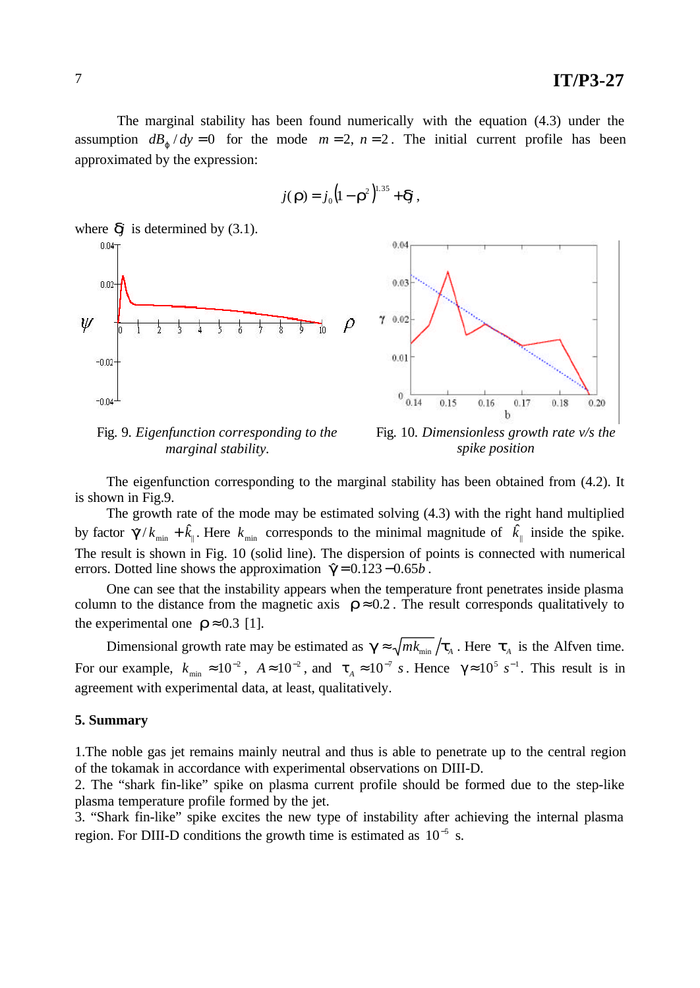The marginal stability has been found numerically with the equation (4.3) under the assumption  $dB_j/dy = 0$  for the mode  $m = 2$ ,  $n = 2$ . The initial current profile has been approximated by the expression:

$$
j(\mathbf{r})=j_0\big(\mathbf{l}-\mathbf{r}^2\big)^{1.35}+\mathbf{d}\mathbf{j},
$$



Fig. 9*. Eigenfunction corresponding to the marginal stability.*

Fig. 10*. Dimensionless growth rate v/s the spike position*

The eigenfunction corresponding to the marginal stability has been obtained from (4.2). It is shown in Fig.9.

The growth rate of the mode may be estimated solving (4.3) with the right hand multiplied by factor  $\mathbf{g}/k_{\text{min}} + \hat{k}_{\parallel}$ . Here  $k_{\text{min}}$  corresponds to the minimal magnitude of  $|\hat{k}_{\parallel}|$  inside the spike. The result is shown in Fig. 10 (solid line). The dispersion of points is connected with numerical errors. Dotted line shows the approximation  $\hat{\mathbf{g}}$  = 0.123 − 0.65*b*.

One can see that the instability appears when the temperature front penetrates inside plasma column to the distance from the magnetic axis  $\mathbf{r} \approx 0.2$ . The result corresponds qualitatively to the experimental one  $\mathbf{r} \approx 0.3$  [1].

Dimensional growth rate may be estimated as  $g \approx \sqrt{mk_{\text{min}}}/t_A$ . Here  $t_A$  is the Alfven time. For our example,  $k_{\min} \approx 10^{-2}$ ,  $A \approx 10^{-2}$ , and  $\tau_A \approx 10^{-7}$  *s*. Hence  $\gamma \approx 10^5$  *s*<sup>-1</sup>. This result is in agreement with experimental data, at least, qualitatively.

### **5. Summary**

1.The noble gas jet remains mainly neutral and thus is able to penetrate up to the central region of the tokamak in accordance with experimental observations on DIII-D.

2. The "shark fin-like" spike on plasma current profile should be formed due to the step-like plasma temperature profile formed by the jet.

3. "Shark fin-like" spike excites the new type of instability after achieving the internal plasma region. For DIII-D conditions the growth time is estimated as  $10^{-5}$  s.